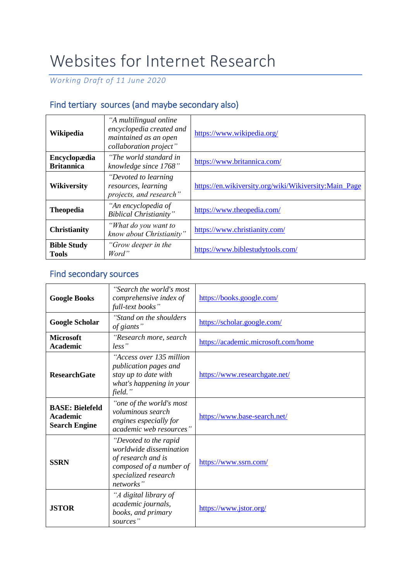## Websites for Internet Research

*Working Draft of 11 June 2020*

## Find tertiary sources (and maybe secondary also)

| Wikipedia                          | "A multilingual online<br>encyclopedia created and<br>maintained as an open<br>collaboration project" | https://www.wikipedia.org/                            |
|------------------------------------|-------------------------------------------------------------------------------------------------------|-------------------------------------------------------|
| Encyclopædia<br><b>Britannica</b>  | "The world standard in<br>knowledge since 1768"                                                       | https://www.britannica.com/                           |
| <b>Wikiversity</b>                 | "Devoted to learning<br>resources, learning<br>projects, and research"                                | https://en.wikiversity.org/wiki/Wikiversity:Main_Page |
| <b>Theopedia</b>                   | "An encyclopedia of<br><b>Biblical Christianity"</b>                                                  | https://www.theopedia.com/                            |
| <b>Christianity</b>                | "What do you want to<br>know about Christianity"                                                      | https://www.christianity.com/                         |
| <b>Bible Study</b><br><b>Tools</b> | "Grow deeper in the<br>Word"                                                                          | https://www.biblestudytools.com/                      |

## Find secondary sources

| <b>Google Books</b>                                               | "Search the world's most<br>comprehensive index of<br>full-text books"                                                                 | https://books.google.com/           |
|-------------------------------------------------------------------|----------------------------------------------------------------------------------------------------------------------------------------|-------------------------------------|
| <b>Google Scholar</b>                                             | "Stand on the shoulders"<br>of giants"                                                                                                 | https://scholar.google.com/         |
| <b>Microsoft</b><br><b>Academic</b>                               | "Research more, search<br>$less$ "                                                                                                     | https://academic.microsoft.com/home |
| <b>ResearchGate</b>                                               | "Access over 135 million<br>publication pages and<br>stay up to date with<br>what's happening in your<br>field."                       | https://www.researchgate.net/       |
| <b>BASE: Bielefeld</b><br><b>Academic</b><br><b>Search Engine</b> | "one of the world's most<br>voluminous search<br>engines especially for<br>academic web resources"                                     | https://www.base-search.net/        |
| <b>SSRN</b>                                                       | "Devoted to the rapid<br>worldwide dissemination<br>of research and is<br>composed of a number of<br>specialized research<br>networks" | https://www.ssrn.com/               |
| <b>JSTOR</b>                                                      | "A digital library of<br>academic journals,<br>books, and primary<br>sources"                                                          | https://www.jstor.org/              |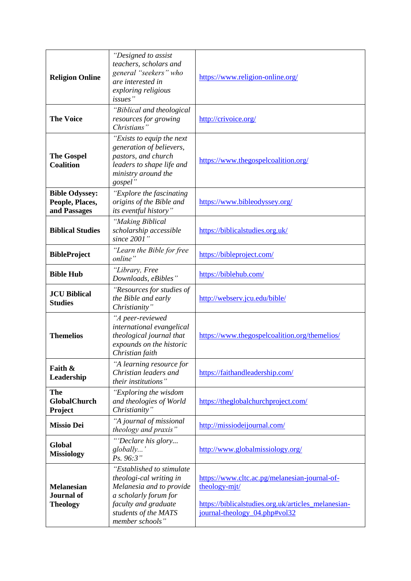| <b>Religion Online</b>                                    | "Designed to assist<br>teachers, scholars and<br>general "seekers" who<br>are interested in<br>exploring religious<br>issues"                                                 | https://www.religion-online.org/                                                                                                                       |
|-----------------------------------------------------------|-------------------------------------------------------------------------------------------------------------------------------------------------------------------------------|--------------------------------------------------------------------------------------------------------------------------------------------------------|
| <b>The Voice</b>                                          | "Biblical and theological<br>resources for growing<br>Christians"                                                                                                             | http://crivoice.org/                                                                                                                                   |
| <b>The Gospel</b><br><b>Coalition</b>                     | "Exists to equip the next<br>generation of believers,<br>pastors, and church<br>leaders to shape life and<br>ministry around the<br>gospel"                                   | https://www.thegospelcoalition.org/                                                                                                                    |
| <b>Bible Odyssey:</b><br>People, Places,<br>and Passages  | "Explore the fascinating<br>origins of the Bible and<br><i>its eventful history</i> "                                                                                         | https://www.bibleodyssey.org/                                                                                                                          |
| <b>Biblical Studies</b>                                   | "Making Biblical<br>scholarship accessible<br>since 2001"                                                                                                                     | https://biblicalstudies.org.uk/                                                                                                                        |
| <b>BibleProject</b>                                       | "Learn the Bible for free<br>online"                                                                                                                                          | https://bibleproject.com/                                                                                                                              |
| <b>Bible Hub</b>                                          | "Library, Free<br>Downloads, eBibles"                                                                                                                                         | https://biblehub.com/                                                                                                                                  |
| <b>JCU Biblical</b><br><b>Studies</b>                     | "Resources for studies of<br>the Bible and early<br>Christianity"                                                                                                             | http://webserv.jcu.edu/bible/                                                                                                                          |
| <b>Themelios</b>                                          | "A peer-reviewed<br>international evangelical<br>theological journal that<br>expounds on the historic<br>Christian faith                                                      | https://www.thegospelcoalition.org/themelios/                                                                                                          |
| Faith &<br>Leadership                                     | "A learning resource for<br>Christian leaders and<br>their institutions"                                                                                                      | https://faithandleadership.com/                                                                                                                        |
| <b>The</b><br><b>GlobalChurch</b><br>Project              | "Exploring the wisdom<br>and theologies of World<br>Christianity"                                                                                                             | https://theglobalchurchproject.com/                                                                                                                    |
| <b>Missio Dei</b>                                         | "A journal of missional<br>theology and praxis"                                                                                                                               | http://missiodeijournal.com/                                                                                                                           |
| Global<br><b>Missiology</b>                               | "Declare his glory<br>globally'<br>Ps. 96:3"                                                                                                                                  | http://www.globalmissiology.org/                                                                                                                       |
| <b>Melanesian</b><br><b>Journal</b> of<br><b>Theology</b> | "Established to stimulate"<br>theologi-cal writing in<br>Melanesia and to provide<br>a scholarly forum for<br>faculty and graduate<br>students of the MATS<br>member schools" | https://www.cltc.ac.pg/melanesian-journal-of-<br>theology-mit/<br>https://biblicalstudies.org.uk/articles_melanesian-<br>journal-theology_04.php#vol32 |